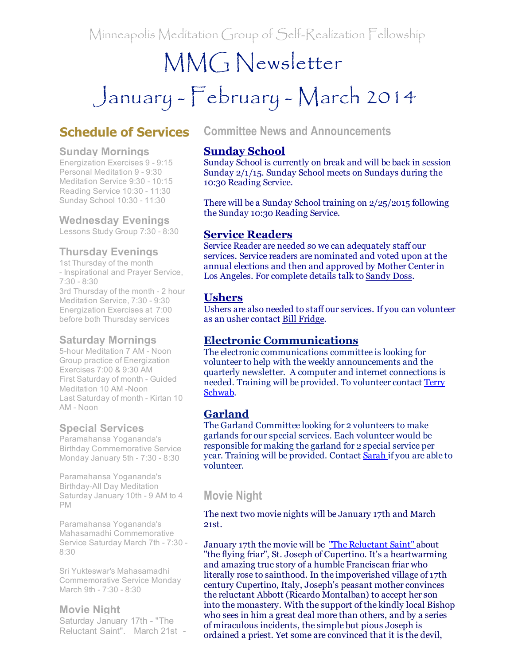Minneapolis Meditation Group of Self-Realization Fellowship

## MMG Newsletter

# January - February - March 2014

## Schedule of Services

#### Sunday Mornings

Energization Exercises 9 - 9:15 Personal Meditation 9 - 9:30 Meditation Service 9:30 - 10:15 Reading Service 10:30 - 11:30 Sunday School 10:30 - 11:30

#### Wednesday Evenings

Lessons Study Group 7:30 - 8:30

#### Thursday Evenings

1st Thursday of the month - Inspirational and Prayer Service,  $7:30 - 8:30$ 3rd Thursday of the month - 2 hour Meditation Service, 7:30 - 9:30 Energization Exercises at 7:00 before both Thursday services

#### Saturday Mornings

5-hour Meditation 7 AM - Noon Group practice of Energization Exercises 7:00 & 9:30 AM First Saturday of month - Guided Meditation 10 AM -Noon Last Saturday of month - Kirtan 10 AM - Noon

#### Special Services

Paramahansa Yogananda's Birthday Commemorative Service Monday January 5th - 7:30 - 8:30

Paramahansa Yogananda's Birthday-All Day Meditation Saturday January 10th - 9 AM to 4 PM

Paramahansa Yogananda's Mahasamadhi Commemorative Service Saturday March 7th - 7:30 -8:30

Sri Yukteswar's Mahasamadhi Commemorative Service Monday March 9th - 7:30 - 8:30

#### Movie Night

Saturday January 17th - "The Reluctant Saint". March 21st

#### Committee News and Announcements

#### Sunday School

Sunday School is currently on break and will be back in session Sunday 2/1/15. Sunday School meets on Sundays during the 10:30 Reading Service.

There will be a Sunday School training on 2/25/2015 following the Sunday 10:30 Reading Service.

#### Service Readers

Service Reader are needed so we can adequately staff our services. Service readers are nominated and voted upon at the annual elections and then and approved by Mother Center in Los Angeles. For complete details talk to [Sandy](mailto:sandydoss77@comcast.net) Doss.

#### **Ushers**

Ushers are also needed to staff our services. If you can volunteer as an usher contact Bill [Fridge](mailto:williamfridge8976@gmail.com).

#### Electronic Communications

The electronic communications committee is looking for volunteer to help with the weekly announcements and the quarterly newsletter. A computer and internet connections is needed. Training will be [provided.](mailto:terry@schwabreg.com) To volunteer contact Terry Schwab.

## Garland

The Garland Committee looking for 2 volunteers to make garlands for our special services. Each volunteer would be responsible for making the garland for 2 special service per year. Training will be provided. Contact **[Sarah](mailto:clowessl@aol.com)** if you are able to volunteer.

## Movie Night

The next two movie nights will be January 17th and March 21st.

January 17th the movie will be "The [Reluctant](http://r20.rs6.net/tn.jsp?e=001ozKOPBfBZ79P_rdSw46p7vyS1PX8WOXb1VOVBy0aezj1V_UcycmKJZ6domOOQ5KDlUaS9TPIUD4yBNTo--Q-lnH_11M3NxFOd2JUMGJ65cPCjjEuW5HwMx0LaVTSukVaKlGIkECq9j0=) Saint" about "the flying friar", St. Joseph of Cupertino. It's a heartwarming and amazing true story of a humble Franciscan friar who literally rose to sainthood. In the impoverished village of 17th century Cupertino, Italy, Joseph's peasant mother convinces the reluctant Abbott (Ricardo Montalban) to accept her son into the monastery. With the support of the kindly local Bishop who sees in him a great deal more than others, and by a series of miraculous incidents, the simple but pious Joseph is ordained a priest. Yet some are convinced that it is the devil,